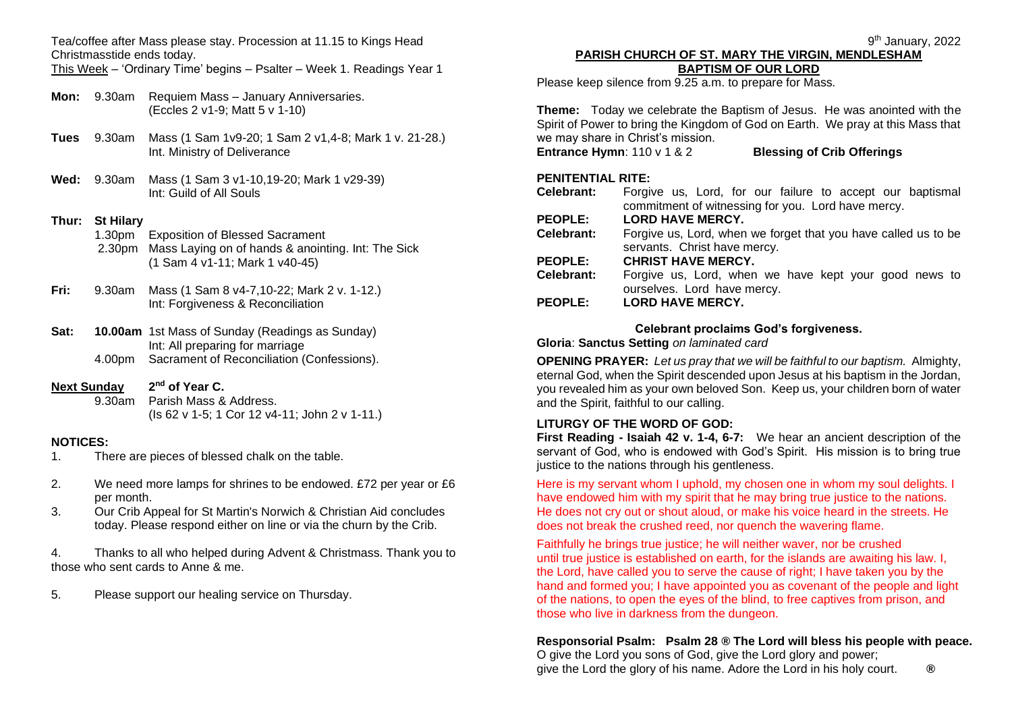Tea/coffee after Mass please stay. Procession at 11.15 to Kings Head Christmasstide ends today.

This Week – 'Ordinary Time' begins – Psalter – Week 1. Readings Year 1

- **Mon:** 9.30am Requiem Mass January Anniversaries. (Eccles 2 v1-9; Matt 5 v 1-10)
- **Tues** 9.30am Mass (1 Sam 1v9-20; 1 Sam 2 v1,4-8; Mark 1 v. 21-28.) Int. Ministry of Deliverance
- **Wed:** 9.30am Mass (1 Sam 3 v1-10,19-20; Mark 1 v29-39) Int: Guild of All Souls

### **Thur: St Hilary**

- 1.30pm Exposition of Blessed Sacrament 2.30pm Mass Laying on of hands & anointing. Int: The Sick (1 Sam 4 v1-11; Mark 1 v40-45)
- **Fri:** 9.30am Mass (1 Sam 8 v4-7,10-22; Mark 2 v. 1-12.) Int: Forgiveness & Reconciliation
- **Sat: 10.00am** 1st Mass of Sunday (Readings as Sunday) Int: All preparing for marriage 4.00pm Sacrament of Reconciliation (Confessions).
- **Next Sunday 2 nd of Year C.**

9.30am Parish Mass & Address. (Is 62 v 1-5; 1 Cor 12 v4-11; John 2 v 1-11.)

### **NOTICES:**

- 1. There are pieces of blessed chalk on the table.
- 2. We need more lamps for shrines to be endowed. £72 per year or £6 per month.
- 3. Our Crib Appeal for St Martin's Norwich & Christian Aid concludes today. Please respond either on line or via the churn by the Crib.

4. Thanks to all who helped during Advent & Christmass. Thank you to those who sent cards to Anne & me.

5. Please support our healing service on Thursday.

### **PARISH CHURCH OF ST. MARY THE VIRGIN, MENDLESHAM BAPTISM OF OUR LORD**

Please keep silence from 9.25 a.m. to prepare for Mass.

**Theme:** Today we celebrate the Baptism of Jesus. He was anointed with the Spirit of Power to bring the Kingdom of God on Earth. We pray at this Mass that we may share in Christ's mission.

**Entrance Hymn**: 110 v 1 & 2 **Blessing of Crib Offerings**

### **PENITENTIAL RITE:**

| Celebrant:     | Forgive us, Lord, for our failure to accept our baptismal      |
|----------------|----------------------------------------------------------------|
|                | commitment of witnessing for you. Lord have mercy.             |
| <b>PEOPLE:</b> | <b>LORD HAVE MERCY.</b>                                        |
| Celebrant:     | Forgive us, Lord, when we forget that you have called us to be |
|                | servants. Christ have mercy.                                   |
| <b>PEOPLE:</b> | <b>CHRIST HAVE MERCY.</b>                                      |
| Celebrant:     | Forgive us, Lord, when we have kept your good news to          |
|                | ourselves. Lord have mercy.                                    |
| <b>PEOPLE:</b> | <b>LORD HAVE MERCY.</b>                                        |

### **Celebrant proclaims God's forgiveness.**

**Gloria**: **Sanctus Setting** *on laminated card*

**OPENING PRAYER:** *Let us pray that we will be faithful to our baptism.* Almighty, eternal God, when the Spirit descended upon Jesus at his baptism in the Jordan, you revealed him as your own beloved Son. Keep us, your children born of water and the Spirit, faithful to our calling.

### **LITURGY OF THE WORD OF GOD:**

**First Reading - Isaiah 42 v. 1-4, 6-7:** We hear an ancient description of the servant of God, who is endowed with God's Spirit. His mission is to bring true justice to the nations through his gentleness.

Here is my servant whom I uphold, my chosen one in whom my soul delights. I have endowed him with my spirit that he may bring true justice to the nations. He does not cry out or shout aloud, or make his voice heard in the streets. He does not break the crushed reed, nor quench the wavering flame.

Faithfully he brings true justice; he will neither waver, nor be crushed until true justice is established on earth, for the islands are awaiting his law. I, the Lord, have called you to serve the cause of right; I have taken you by the hand and formed you; I have appointed you as covenant of the people and light of the nations, to open the eyes of the blind, to free captives from prison, and those who live in darkness from the dungeon.

#### **Responsorial Psalm: Psalm 28 ® The Lord will bless his people with peace.** O give the Lord you sons of God, give the Lord glory and power;

give the Lord the glory of his name. Adore the Lord in his holy court. **®**